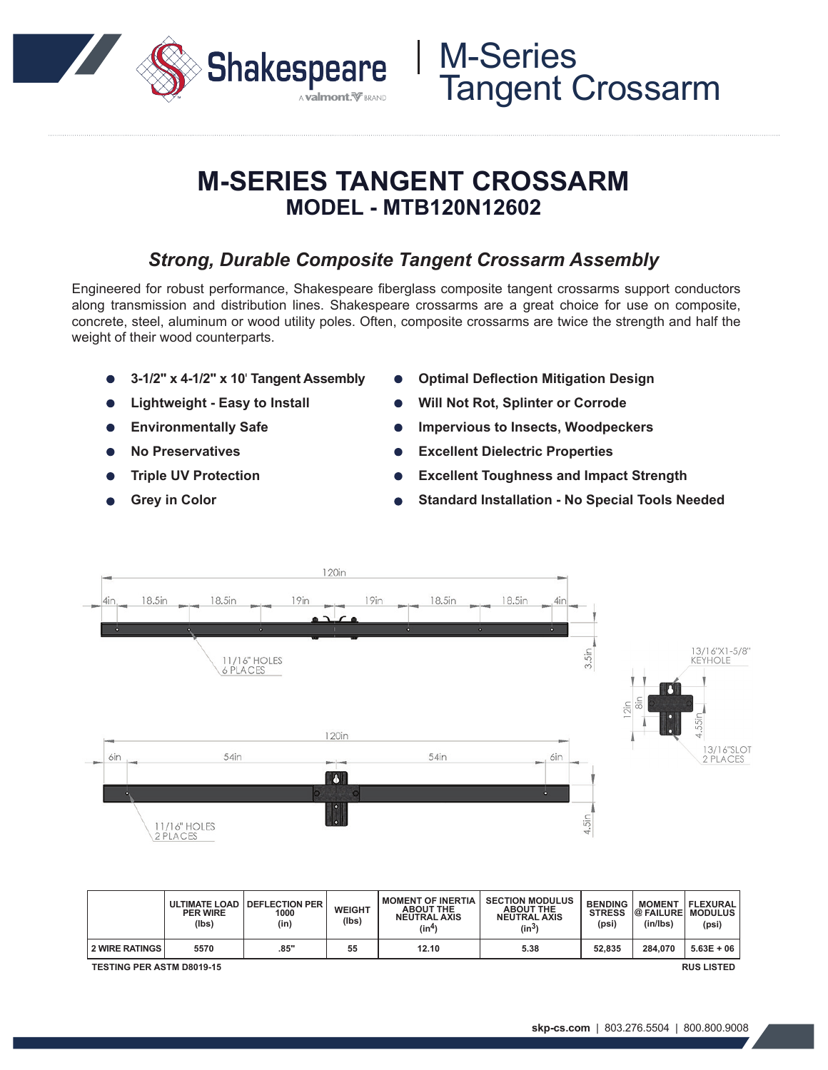

## **M-SERIES TANGENT CROSSARM MODEL - MTB120N12602**

### *Strong, Durable Composite Tangent Crossarm Assembly*

Engineered for robust performance, Shakespeare fiberglass composite tangent crossarms support conductors along transmission and distribution lines. Shakespeare crossarms are a great choice for use on composite, concrete, steel, aluminum or wood utility poles. Often, composite crossarms are twice the strength and half the weight of their wood counterparts.

- **3-1/2" x 4-1/2" x 10**' **Tangent Assembly**
- **Lightweight Easy to Install**
- **Environmentally Safe**  $\bullet$
- **No Preservatives**
- **Triple UV Protection**
- **Grey in Color**
- **Optimal Deflection Mitigation Design**
- **Will Not Rot, Splinter or Corrode**

M-Series

Tangent Crossarm

- **Impervious to Insects, Woodpeckers**
- **Excellent Dielectric Properties**
- **Excellent Toughness and Impact Strength**
- **Standard Installation No Special Tools Needed**



|                                                       | <b>PER WIRE</b><br>(lbs) | ULTIMATE LOAD   DEFLECTION PER<br>1000<br>(in) | <b>WEIGHT</b><br>(lbs) | <b>MOMENT OF INERTIA</b><br><b>ABOUT THE</b><br><b>NEUTRAL AXIS</b><br>(in4) | <b>SECTION MODULUS</b><br><b>ABOUT THE</b><br><b>NEUTRAL AXIS</b><br>$(in^3)$ | <b>BENDING</b><br><b>STRESS</b><br>(psi) | <b>MOMENT</b><br>(in/lbs) | FLEXURAL <br>@ FAILURE   MODULUS<br>(psi) |
|-------------------------------------------------------|--------------------------|------------------------------------------------|------------------------|------------------------------------------------------------------------------|-------------------------------------------------------------------------------|------------------------------------------|---------------------------|-------------------------------------------|
| <b>2 WIRE RATINGS</b>                                 | 5570                     | .85"                                           | 55                     | 12.10                                                                        | 5.38                                                                          | 52.835                                   | 284.070                   | $5.63E + 06$                              |
| <b>RUS LISTED</b><br><b>TESTING PER ASTM D8019-15</b> |                          |                                                |                        |                                                                              |                                                                               |                                          |                           |                                           |